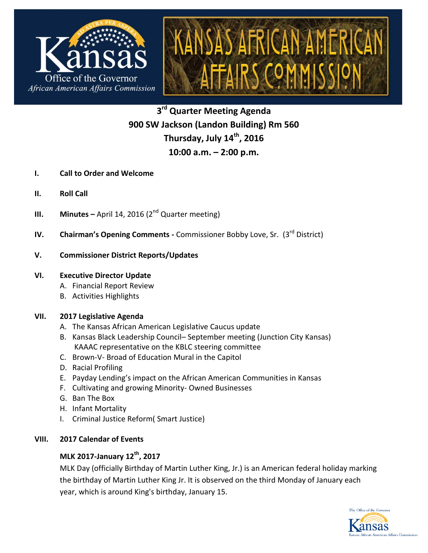

**3 rd Quarter Meeting Agenda 900 SW Jackson (Landon Building) Rm 560 Thursday, July 14th , 2016 10:00 a.m. – 2:00 p.m.**

- **I. Call to Order and Welcome**
- **II. Roll Call**
- **III. Minutes –** April 14, 2016 (2<sup>nd</sup> Quarter meeting)
- **IV. Chairman's Opening Comments Commissioner Bobby Love, Sr. (3<sup>rd</sup> District)**

#### **V. Commissioner District Reports/Updates**

#### **VI. Executive Director Update**

- A. Financial Report Review
- B. Activities Highlights

#### **VII. 2017 Legislative Agenda**

- A. The Kansas African American Legislative Caucus update
- B. Kansas Black Leadership Council– September meeting (Junction City Kansas) KAAAC representative on the KBLC steering committee
- C. Brown-V- Broad of Education Mural in the Capitol
- D. Racial Profiling
- E. Payday Lending's impact on the African American Communities in Kansas
- F. Cultivating and growing Minority- Owned Businesses
- G. Ban The Box
- H. Infant Mortality
- I. Criminal Justice Reform( Smart Justice)

## **VIII. 2017 Calendar of Events**

# **MLK 2017-January 12th , 2017**

MLK Day (officially Birthday of Martin Luther King, Jr.) is an American federal holiday marking the birthday of Martin Luther King Jr. It is observed on the third Monday of January each year, which is around King's birthday, January 15.